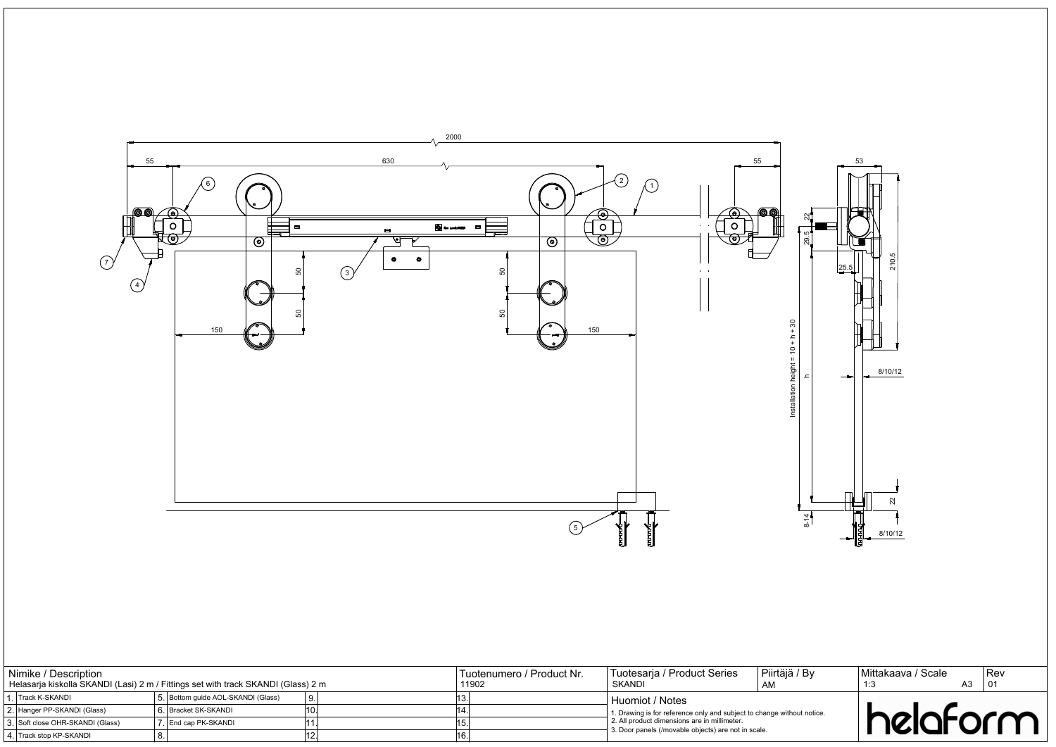



| Nimike / Description<br>Helasarja kiskolla SKANDI (Lasi) 2 m / Fittings set with track SKANDI (Glass) 2 m |                                  |  |                                    |  | 'Tuotenumero / Product Nr.<br>11902 | Tuotesarja / Product Series<br>SKANDI                                                               |  | Piirtäjä / By | Mittakaava / Scale | А3 | ∣Rev |
|-----------------------------------------------------------------------------------------------------------|----------------------------------|--|------------------------------------|--|-------------------------------------|-----------------------------------------------------------------------------------------------------|--|---------------|--------------------|----|------|
|                                                                                                           | ∣Track K-SKANDI                  |  | 5. Bottom quide AOL-SKANDI (Glass) |  |                                     | Huomiot / Notes<br>1. Drawing is for reference only and subject to change without notice.           |  |               |                    |    |      |
|                                                                                                           | 2. Hanger PP-SKANDI (Glass)      |  | 6. Bracket SK-SKANDI               |  |                                     |                                                                                                     |  |               |                    |    |      |
|                                                                                                           | 3. Soft close OHR-SKANDI (Glass) |  | ∫ End cap PK-SKANDI                |  |                                     | 2. All product dimensions are in millimeter.<br>3. Door panels (/movable objects) are not in scale. |  |               | <b>helaform</b>    |    |      |
|                                                                                                           | 4. Track stop KP-SKANDI          |  |                                    |  |                                     |                                                                                                     |  |               |                    |    |      |